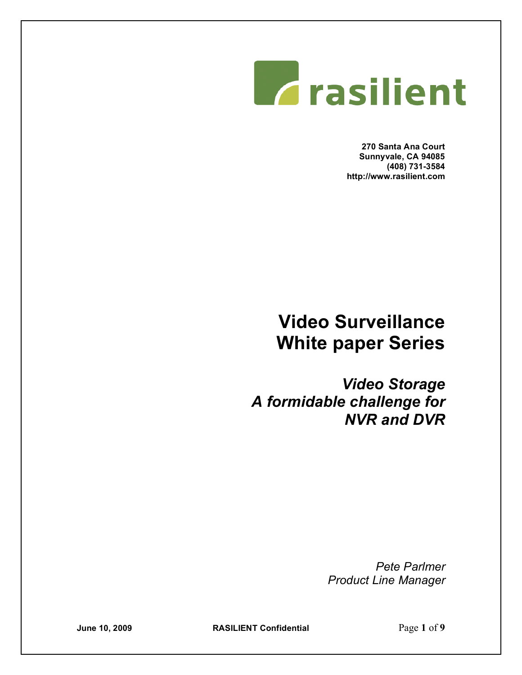

**270 Santa Ana Court Sunnyvale, CA 94085 (408) 731-3584 http://www.rasilient.com**

# **Video Surveillance White paper Series**

*Video Storage A formidable challenge for NVR and DVR* 

> *Pete Parlmer Product Line Manager*

**June 10, 2009 RASILIENT Confidential** Page **1** of **9**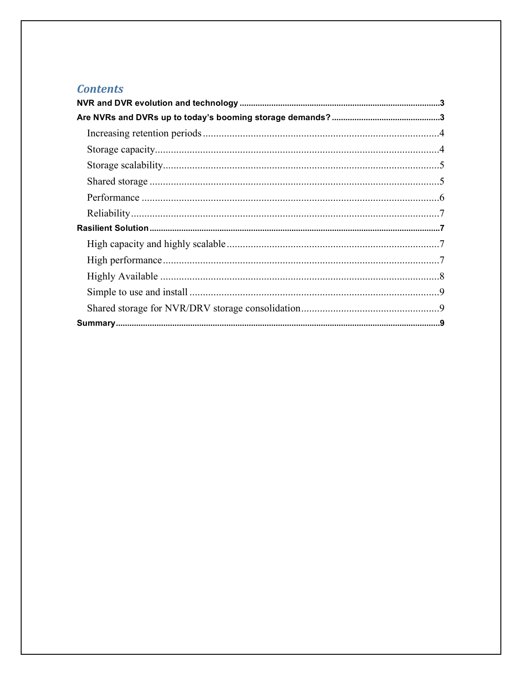## **Contents**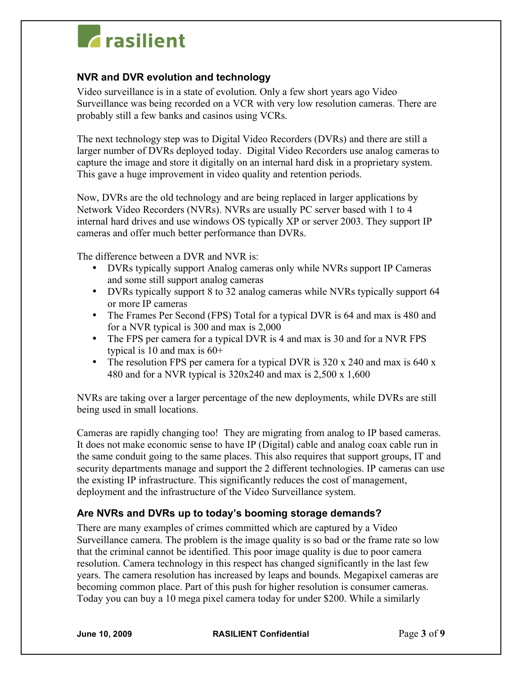# **Z**rasilient

### **NVR and DVR evolution and technology**

Video surveillance is in a state of evolution. Only a few short years ago Video Surveillance was being recorded on a VCR with very low resolution cameras. There are probably still a few banks and casinos using VCRs.

The next technology step was to Digital Video Recorders (DVRs) and there are still a larger number of DVRs deployed today. Digital Video Recorders use analog cameras to capture the image and store it digitally on an internal hard disk in a proprietary system. This gave a huge improvement in video quality and retention periods.

Now, DVRs are the old technology and are being replaced in larger applications by Network Video Recorders (NVRs). NVRs are usually PC server based with 1 to 4 internal hard drives and use windows OS typically XP or server 2003. They support IP cameras and offer much better performance than DVRs.

The difference between a DVR and NVR is:

- DVRs typically support Analog cameras only while NVRs support IP Cameras and some still support analog cameras
- DVRs typically support 8 to 32 analog cameras while NVRs typically support 64 or more IP cameras
- The Frames Per Second (FPS) Total for a typical DVR is 64 and max is 480 and for a NVR typical is 300 and max is 2,000
- The FPS per camera for a typical DVR is 4 and max is 30 and for a NVR FPS typical is 10 and max is  $60+$
- The resolution FPS per camera for a typical DVR is 320 x 240 and max is 640 x 480 and for a NVR typical is  $320x240$  and max is  $2,500 \times 1,600$

NVRs are taking over a larger percentage of the new deployments, while DVRs are still being used in small locations.

Cameras are rapidly changing too! They are migrating from analog to IP based cameras. It does not make economic sense to have IP (Digital) cable and analog coax cable run in the same conduit going to the same places. This also requires that support groups, IT and security departments manage and support the 2 different technologies. IP cameras can use the existing IP infrastructure. This significantly reduces the cost of management, deployment and the infrastructure of the Video Surveillance system.

### **Are NVRs and DVRs up to today's booming storage demands?**

There are many examples of crimes committed which are captured by a Video Surveillance camera. The problem is the image quality is so bad or the frame rate so low that the criminal cannot be identified. This poor image quality is due to poor camera resolution. Camera technology in this respect has changed significantly in the last few years. The camera resolution has increased by leaps and bounds. Megapixel cameras are becoming common place. Part of this push for higher resolution is consumer cameras. Today you can buy a 10 mega pixel camera today for under \$200. While a similarly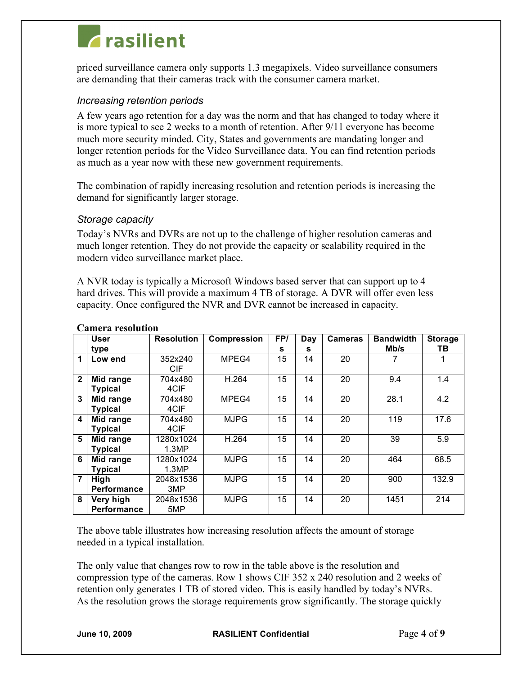# **Trasilient**

priced surveillance camera only supports 1.3 megapixels. Video surveillance consumers are demanding that their cameras track with the consumer camera market.

### *Increasing retention periods*

A few years ago retention for a day was the norm and that has changed to today where it is more typical to see 2 weeks to a month of retention. After 9/11 everyone has become much more security minded. City, States and governments are mandating longer and longer retention periods for the Video Surveillance data. You can find retention periods as much as a year now with these new government requirements.

The combination of rapidly increasing resolution and retention periods is increasing the demand for significantly larger storage.

### *Storage capacity*

Today's NVRs and DVRs are not up to the challenge of higher resolution cameras and much longer retention. They do not provide the capacity or scalability required in the modern video surveillance market place.

A NVR today is typically a Microsoft Windows based server that can support up to 4 hard drives. This will provide a maximum 4 TB of storage. A DVR will offer even less capacity. Once configured the NVR and DVR cannot be increased in capacity.

|              | User               | <b>Resolution</b> | <b>Compression</b> | FP/ | Day | <b>Cameras</b> | <b>Bandwidth</b> | <b>Storage</b> |
|--------------|--------------------|-------------------|--------------------|-----|-----|----------------|------------------|----------------|
|              | type               |                   |                    | s   | s   |                | Mb/s             | ΤВ             |
| 1            | Low end            | 352x240           | MPEG4              | 15  | 14  | 20             | 7                |                |
|              |                    | CIF.              |                    |     |     |                |                  |                |
| $\mathbf{2}$ | Mid range          | 704x480           | H.264              | 15  | 14  | 20             | 9.4              | 1.4            |
|              | <b>Typical</b>     | 4CIF              |                    |     |     |                |                  |                |
| 3            | Mid range          | 704x480           | MPEG4              | 15  | 14  | 20             | 28.1             | 4.2            |
|              | <b>Typical</b>     | 4CIF              |                    |     |     |                |                  |                |
| 4            | Mid range          | 704x480           | <b>MJPG</b>        | 15  | 14  | 20             | 119              | 17.6           |
|              | <b>Typical</b>     | 4CIF              |                    |     |     |                |                  |                |
| 5            | Mid range          | 1280x1024         | H.264              | 15  | 14  | 20             | 39               | 5.9            |
|              | <b>Typical</b>     | 1.3MP             |                    |     |     |                |                  |                |
| 6            | Mid range          | 1280x1024         | <b>MJPG</b>        | 15  | 14  | 20             | 464              | 68.5           |
|              | <b>Typical</b>     | 1.3MP             |                    |     |     |                |                  |                |
| 7            | High               | 2048x1536         | <b>MJPG</b>        | 15  | 14  | 20             | 900              | 132.9          |
|              | <b>Performance</b> | 3MP               |                    |     |     |                |                  |                |
| 8            | Very high          | 2048x1536         | <b>MJPG</b>        | 15  | 14  | 20             | 1451             | 214            |
|              | Performance        | 5MP               |                    |     |     |                |                  |                |

#### **Camera resolution**

The above table illustrates how increasing resolution affects the amount of storage needed in a typical installation.

The only value that changes row to row in the table above is the resolution and compression type of the cameras. Row 1 shows CIF 352 x 240 resolution and 2 weeks of retention only generates 1 TB of stored video. This is easily handled by today's NVRs. As the resolution grows the storage requirements grow significantly. The storage quickly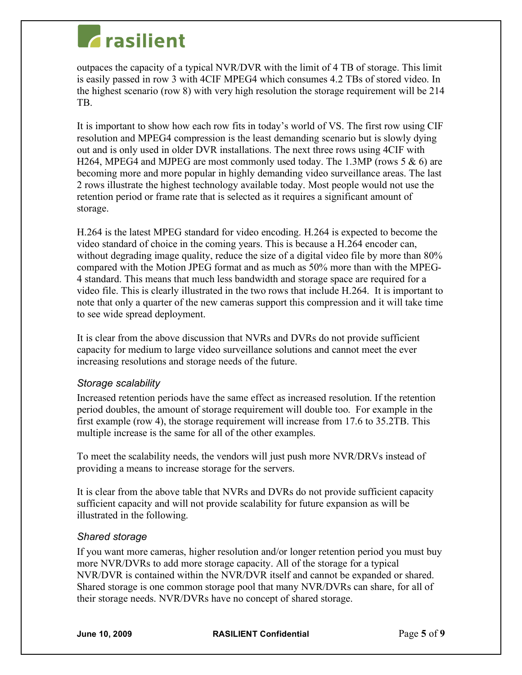# **Trasilient**

outpaces the capacity of a typical NVR/DVR with the limit of 4 TB of storage. This limit is easily passed in row 3 with 4CIF MPEG4 which consumes 4.2 TBs of stored video. In the highest scenario (row 8) with very high resolution the storage requirement will be 214 TB.

It is important to show how each row fits in today's world of VS. The first row using CIF resolution and MPEG4 compression is the least demanding scenario but is slowly dying out and is only used in older DVR installations. The next three rows using 4CIF with H264, MPEG4 and MJPEG are most commonly used today. The 1.3MP (rows 5  $\&$  6) are becoming more and more popular in highly demanding video surveillance areas. The last 2 rows illustrate the highest technology available today. Most people would not use the retention period or frame rate that is selected as it requires a significant amount of storage.

H.264 is the latest MPEG standard for video encoding. H.264 is expected to become the video standard of choice in the coming years. This is because a H.264 encoder can, without degrading image quality, reduce the size of a digital video file by more than 80% compared with the Motion JPEG format and as much as 50% more than with the MPEG-4 standard. This means that much less bandwidth and storage space are required for a video file. This is clearly illustrated in the two rows that include H.264. It is important to note that only a quarter of the new cameras support this compression and it will take time to see wide spread deployment.

It is clear from the above discussion that NVRs and DVRs do not provide sufficient capacity for medium to large video surveillance solutions and cannot meet the ever increasing resolutions and storage needs of the future.

### *Storage scalability*

Increased retention periods have the same effect as increased resolution. If the retention period doubles, the amount of storage requirement will double too. For example in the first example (row 4), the storage requirement will increase from 17.6 to 35.2TB. This multiple increase is the same for all of the other examples.

To meet the scalability needs, the vendors will just push more NVR/DRVs instead of providing a means to increase storage for the servers.

It is clear from the above table that NVRs and DVRs do not provide sufficient capacity sufficient capacity and will not provide scalability for future expansion as will be illustrated in the following.

### *Shared storage*

If you want more cameras, higher resolution and/or longer retention period you must buy more NVR/DVRs to add more storage capacity. All of the storage for a typical NVR/DVR is contained within the NVR/DVR itself and cannot be expanded or shared. Shared storage is one common storage pool that many NVR/DVRs can share, for all of their storage needs. NVR/DVRs have no concept of shared storage.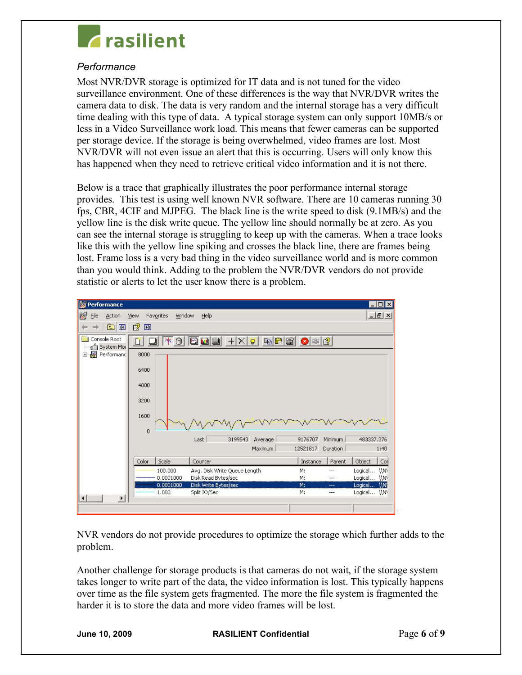

### *Performance*

Most NVR/DVR storage is optimized for IT data and is not tuned for the video surveillance environment. One of these differences is the way that NVR/DVR writes the camera data to disk. The data is very random and the internal storage has a very difficult time dealing with this type of data. A typical storage system can only support 10MB/s or less in a Video Surveillance work load. This means that fewer cameras can be supported per storage device. If the storage is being overwhelmed, video frames are lost. Most NVR/DVR will not even issue an alert that this is occurring. Users will only know this has happened when they need to retrieve critical video information and it is not there.

Below is a trace that graphically illustrates the poor performance internal storage provides. This test is using well known NVR software. There are 10 cameras running 30 fps, CBR, 4CIF and MJPEG. The black line is the write speed to disk (9.1MB/s) and the yellow line is the disk write queue. The yellow line should normally be at zero. As you can see the internal storage is struggling to keep up with the cameras. When a trace looks like this with the yellow line spiking and crosses the black line, there are frames being lost. Frame loss is a very bad thing in the video surveillance world and is more common than you would think. Adding to the problem the NVR/DVR vendors do not provide statistic or alerts to let the user know there is a problem.

| <b>Reformance</b><br>$ \Box$ $\times$                                                                                                      |                                                                                                |                                |  |  |  |
|--------------------------------------------------------------------------------------------------------------------------------------------|------------------------------------------------------------------------------------------------|--------------------------------|--|--|--|
| 國<br>Eile<br>Action                                                                                                                        | Window<br>View<br>Favorites<br>Help                                                            | $  \mathbb{F}$ $\times$        |  |  |  |
| 面<br>O<br>mb                                                                                                                               | 图<br>圃                                                                                         |                                |  |  |  |
|                                                                                                                                            |                                                                                                |                                |  |  |  |
| Console Root<br>edo<br><b>bc</b> M<br>$+ X g$<br>啉<br>$\left  \bullet \right $ $\left  2 \right $<br>$\Theta$<br><b>E</b> ri<br>System Mor |                                                                                                |                                |  |  |  |
| 覆<br>Performand<br>Ė                                                                                                                       | 8000                                                                                           |                                |  |  |  |
|                                                                                                                                            |                                                                                                |                                |  |  |  |
|                                                                                                                                            | 6400                                                                                           |                                |  |  |  |
|                                                                                                                                            | 4800                                                                                           |                                |  |  |  |
|                                                                                                                                            |                                                                                                |                                |  |  |  |
|                                                                                                                                            | 3200                                                                                           |                                |  |  |  |
|                                                                                                                                            | 1600                                                                                           |                                |  |  |  |
|                                                                                                                                            |                                                                                                |                                |  |  |  |
|                                                                                                                                            | $\overline{0}$<br>3199543<br>9176707<br>Minimum<br>Last<br>Average                             | 483337.376                     |  |  |  |
|                                                                                                                                            | 12521817<br>Maximum<br>Duration                                                                | 1:40                           |  |  |  |
|                                                                                                                                            |                                                                                                |                                |  |  |  |
|                                                                                                                                            | Color<br>Scale<br>Instance<br>Parent<br>Counter                                                | Object<br>Con                  |  |  |  |
|                                                                                                                                            | 100,000<br>Avg. Disk Write Queue Length<br>M:<br>Disk Read Bytes/sec<br>0.0001000<br>M:<br>--- | WW<br>Logical<br>Logical<br>WW |  |  |  |
|                                                                                                                                            | 0.0001000<br>Disk Write Bytes/sec<br>M:<br>---                                                 | Logical<br>AM!                 |  |  |  |
|                                                                                                                                            | Split IO/Sec<br>1,000<br>M:<br>---                                                             | Logical \\N\                   |  |  |  |
| $\left  \right $                                                                                                                           |                                                                                                |                                |  |  |  |
|                                                                                                                                            |                                                                                                | ┡                              |  |  |  |

NVR vendors do not provide procedures to optimize the storage which further adds to the problem.

Another challenge for storage products is that cameras do not wait, if the storage system takes longer to write part of the data, the video information is lost. This typically happens over time as the file system gets fragmented. The more the file system is fragmented the harder it is to store the data and more video frames will be lost.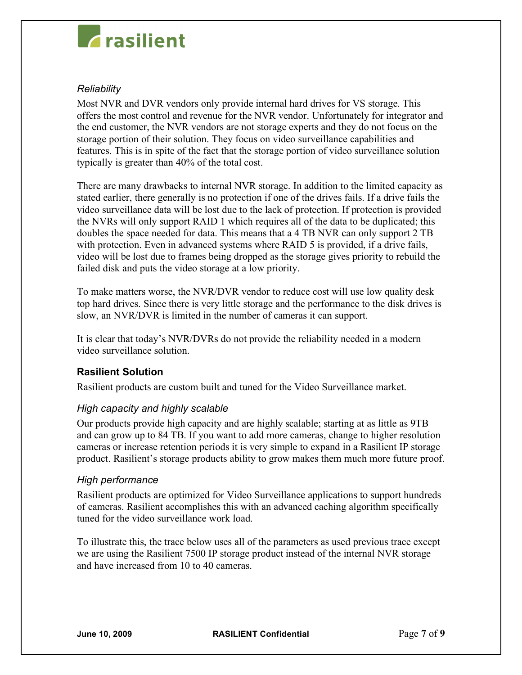# **Trasilient**

### *Reliability*

Most NVR and DVR vendors only provide internal hard drives for VS storage. This offers the most control and revenue for the NVR vendor. Unfortunately for integrator and the end customer, the NVR vendors are not storage experts and they do not focus on the storage portion of their solution. They focus on video surveillance capabilities and features. This is in spite of the fact that the storage portion of video surveillance solution typically is greater than 40% of the total cost.

There are many drawbacks to internal NVR storage. In addition to the limited capacity as stated earlier, there generally is no protection if one of the drives fails. If a drive fails the video surveillance data will be lost due to the lack of protection. If protection is provided the NVRs will only support RAID 1 which requires all of the data to be duplicated; this doubles the space needed for data. This means that a 4 TB NVR can only support 2 TB with protection. Even in advanced systems where RAID 5 is provided, if a drive fails, video will be lost due to frames being dropped as the storage gives priority to rebuild the failed disk and puts the video storage at a low priority.

To make matters worse, the NVR/DVR vendor to reduce cost will use low quality desk top hard drives. Since there is very little storage and the performance to the disk drives is slow, an NVR/DVR is limited in the number of cameras it can support.

It is clear that today's NVR/DVRs do not provide the reliability needed in a modern video surveillance solution.

## **Rasilient Solution**

Rasilient products are custom built and tuned for the Video Surveillance market.

### *High capacity and highly scalable*

Our products provide high capacity and are highly scalable; starting at as little as 9TB and can grow up to 84 TB. If you want to add more cameras, change to higher resolution cameras or increase retention periods it is very simple to expand in a Rasilient IP storage product. Rasilient's storage products ability to grow makes them much more future proof.

### *High performance*

Rasilient products are optimized for Video Surveillance applications to support hundreds of cameras. Rasilient accomplishes this with an advanced caching algorithm specifically tuned for the video surveillance work load.

To illustrate this, the trace below uses all of the parameters as used previous trace except we are using the Rasilient 7500 IP storage product instead of the internal NVR storage and have increased from 10 to 40 cameras.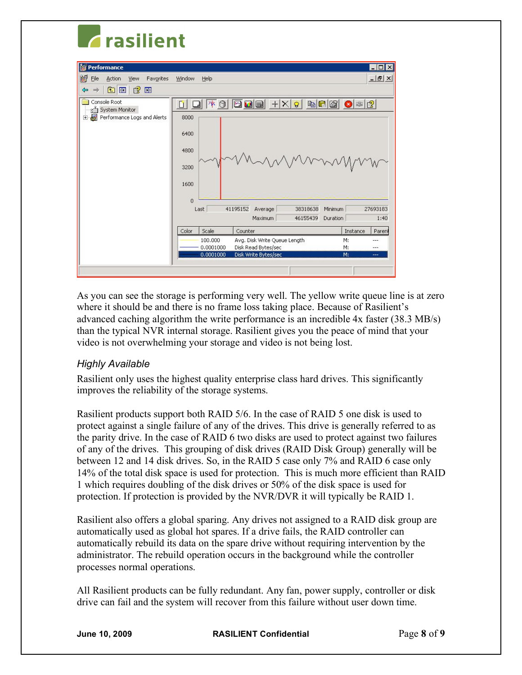# **Z**rasilient

| <b>S</b> Performance                                          | $ \Box$ $\times$                                                                                                                                                                                                 |
|---------------------------------------------------------------|------------------------------------------------------------------------------------------------------------------------------------------------------------------------------------------------------------------|
| 阚<br>Eile<br>Action<br>Favorites<br>View                      | $  \mathbb{F}$ $\times$<br>Window<br>Help                                                                                                                                                                        |
| $\mathbb{B}$<br>白田<br>回<br>⇦<br>$\Rightarrow$                 |                                                                                                                                                                                                                  |
| Console Root<br>System Monitor<br>Performance Logs and Alerts | $\boxed{ \text{O} } \text{O} \text{ } \text{O} \text{ } \text{ } + \mid \text{X} \mid \text{O} \text{ } \text{ }$<br>$\Box$<br><b>b C 6 0 0 2</b><br> 本日 <br>Π<br>8000<br>6400<br>4800<br>MANNAN<br>3200<br>1600 |
|                                                               | $\overline{0}$<br>41195152<br>38318638<br>27693183<br>Last<br>Average<br>Minimum                                                                                                                                 |
|                                                               | Maximum<br>46155439<br>Duration<br>1:40                                                                                                                                                                          |
|                                                               | Scale<br>Counter<br>Instance<br>Color<br>Parent                                                                                                                                                                  |
|                                                               | 100,000<br>Avg. Disk Write Queue Length<br>M:<br>---<br>Disk Read Bytes/sec<br>0.0001000<br>M:<br>---<br>Disk Write Bytes/sec<br>0.0001000<br>M:<br>---                                                          |
|                                                               |                                                                                                                                                                                                                  |

As you can see the storage is performing very well. The yellow write queue line is at zero where it should be and there is no frame loss taking place. Because of Rasilient's advanced caching algorithm the write performance is an incredible 4x faster (38.3 MB/s) than the typical NVR internal storage. Rasilient gives you the peace of mind that your video is not overwhelming your storage and video is not being lost.

### *Highly Available*

Rasilient only uses the highest quality enterprise class hard drives. This significantly improves the reliability of the storage systems.

Rasilient products support both RAID 5/6. In the case of RAID 5 one disk is used to protect against a single failure of any of the drives. This drive is generally referred to as the parity drive. In the case of RAID 6 two disks are used to protect against two failures of any of the drives. This grouping of disk drives (RAID Disk Group) generally will be between 12 and 14 disk drives. So, in the RAID 5 case only 7% and RAID 6 case only 14% of the total disk space is used for protection. This is much more efficient than RAID 1 which requires doubling of the disk drives or 50% of the disk space is used for protection. If protection is provided by the NVR/DVR it will typically be RAID 1.

Rasilient also offers a global sparing. Any drives not assigned to a RAID disk group are automatically used as global hot spares. If a drive fails, the RAID controller can automatically rebuild its data on the spare drive without requiring intervention by the administrator. The rebuild operation occurs in the background while the controller processes normal operations.

All Rasilient products can be fully redundant. Any fan, power supply, controller or disk drive can fail and the system will recover from this failure without user down time.